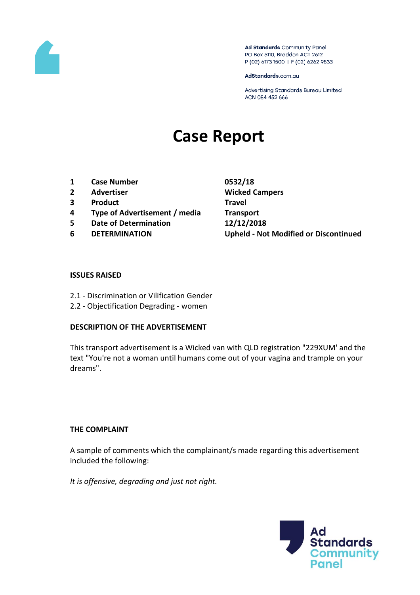

Ad Standards Community Panel PO Box 5110, Braddon ACT 2612 P (02) 6173 1500 | F (02) 6262 9833

AdStandards.com.au

Advertising Standards Bureau Limited ACN 084 452 666

# **Case Report**

- **1 Case Number 0532/18**
- **2 Advertiser Wicked Campers**
- **3 Product Travel**
- **4 Type of Advertisement / media Transport**
- **5 Date of Determination 12/12/2018**
- 

**6 DETERMINATION Upheld - Not Modified or Discontinued**

# **ISSUES RAISED**

- 2.1 Discrimination or Vilification Gender
- 2.2 Objectification Degrading women

# **DESCRIPTION OF THE ADVERTISEMENT**

This transport advertisement is a Wicked van with QLD registration "229XUM' and the text "You're not a woman until humans come out of your vagina and trample on your dreams".

# **THE COMPLAINT**

A sample of comments which the complainant/s made regarding this advertisement included the following:

*It is offensive, degrading and just not right.*

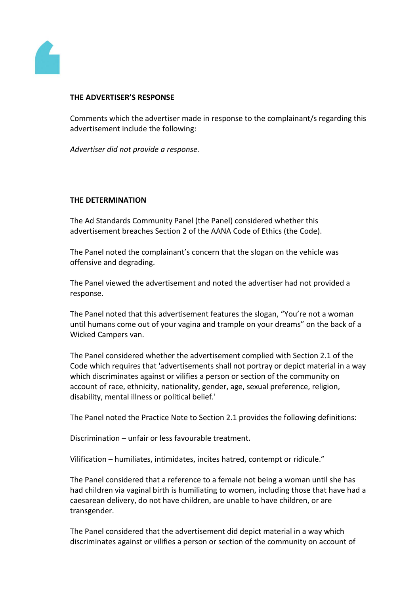

#### **THE ADVERTISER'S RESPONSE**

Comments which the advertiser made in response to the complainant/s regarding this advertisement include the following:

*Advertiser did not provide a response.*

# **THE DETERMINATION**

The Ad Standards Community Panel (the Panel) considered whether this advertisement breaches Section 2 of the AANA Code of Ethics (the Code).

The Panel noted the complainant's concern that the slogan on the vehicle was offensive and degrading.

The Panel viewed the advertisement and noted the advertiser had not provided a response.

The Panel noted that this advertisement features the slogan, "You're not a woman until humans come out of your vagina and trample on your dreams" on the back of a Wicked Campers van.

The Panel considered whether the advertisement complied with Section 2.1 of the Code which requires that 'advertisements shall not portray or depict material in a way which discriminates against or vilifies a person or section of the community on account of race, ethnicity, nationality, gender, age, sexual preference, religion, disability, mental illness or political belief.'

The Panel noted the Practice Note to Section 2.1 provides the following definitions:

Discrimination – unfair or less favourable treatment.

Vilification – humiliates, intimidates, incites hatred, contempt or ridicule."

The Panel considered that a reference to a female not being a woman until she has had children via vaginal birth is humiliating to women, including those that have had a caesarean delivery, do not have children, are unable to have children, or are transgender.

The Panel considered that the advertisement did depict material in a way which discriminates against or vilifies a person or section of the community on account of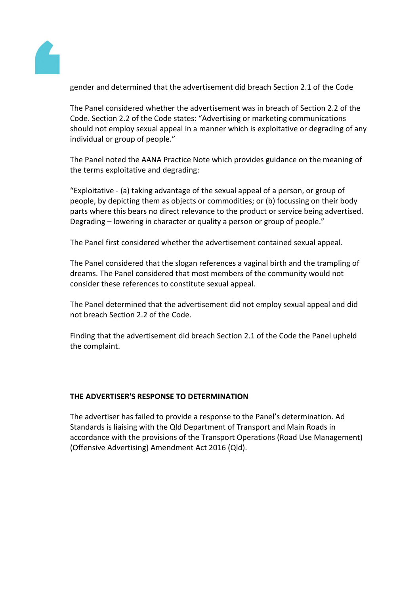

gender and determined that the advertisement did breach Section 2.1 of the Code

The Panel considered whether the advertisement was in breach of Section 2.2 of the Code. Section 2.2 of the Code states: "Advertising or marketing communications should not employ sexual appeal in a manner which is exploitative or degrading of any individual or group of people."

The Panel noted the AANA Practice Note which provides guidance on the meaning of the terms exploitative and degrading:

"Exploitative - (a) taking advantage of the sexual appeal of a person, or group of people, by depicting them as objects or commodities; or (b) focussing on their body parts where this bears no direct relevance to the product or service being advertised. Degrading – lowering in character or quality a person or group of people."

The Panel first considered whether the advertisement contained sexual appeal.

The Panel considered that the slogan references a vaginal birth and the trampling of dreams. The Panel considered that most members of the community would not consider these references to constitute sexual appeal.

The Panel determined that the advertisement did not employ sexual appeal and did not breach Section 2.2 of the Code.

Finding that the advertisement did breach Section 2.1 of the Code the Panel upheld the complaint.

# **THE ADVERTISER'S RESPONSE TO DETERMINATION**

The advertiser has failed to provide a response to the Panel's determination. Ad Standards is liaising with the Qld Department of Transport and Main Roads in accordance with the provisions of the Transport Operations (Road Use Management) (Offensive Advertising) Amendment Act 2016 (Qld).